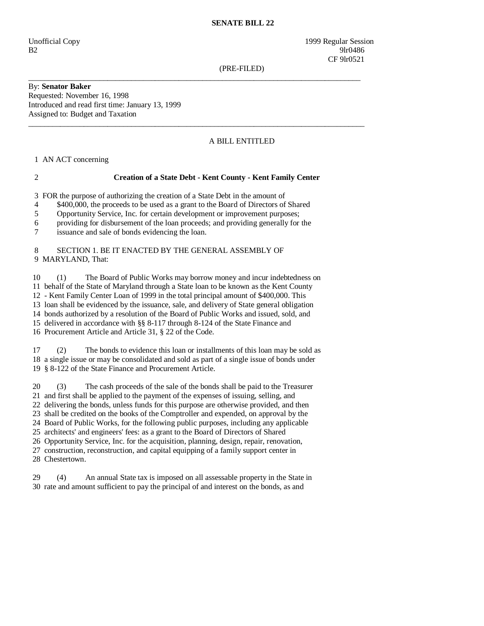#### **SENATE BILL 22**

Unofficial Copy 1999 Regular Session B2 9lr0486 CF 9lr0521

(PRE-FILED)

By: **Senator Baker**  Requested: November 16, 1998 Introduced and read first time: January 13, 1999 Assigned to: Budget and Taxation

## A BILL ENTITLED

1 AN ACT concerning

#### 2 **Creation of a State Debt - Kent County - Kent Family Center**

\_\_\_\_\_\_\_\_\_\_\_\_\_\_\_\_\_\_\_\_\_\_\_\_\_\_\_\_\_\_\_\_\_\_\_\_\_\_\_\_\_\_\_\_\_\_\_\_\_\_\_\_\_\_\_\_\_\_\_\_\_\_\_\_\_\_\_\_\_\_\_\_\_\_\_\_\_\_\_\_\_\_\_\_

 $\_$  ,  $\_$  ,  $\_$  ,  $\_$  ,  $\_$  ,  $\_$  ,  $\_$  ,  $\_$  ,  $\_$  ,  $\_$  ,  $\_$  ,  $\_$  ,  $\_$  ,  $\_$  ,  $\_$  ,  $\_$  ,  $\_$  ,  $\_$  ,  $\_$  ,  $\_$  ,  $\_$  ,  $\_$  ,  $\_$  ,  $\_$  ,  $\_$  ,  $\_$  ,  $\_$  ,  $\_$  ,  $\_$  ,  $\_$  ,  $\_$  ,  $\_$  ,  $\_$  ,  $\_$  ,  $\_$  ,  $\_$  ,  $\_$  ,

3 FOR the purpose of authorizing the creation of a State Debt in the amount of

4 \$400,000, the proceeds to be used as a grant to the Board of Directors of Shared

5 Opportunity Service, Inc. for certain development or improvement purposes;

6 providing for disbursement of the loan proceeds; and providing generally for the

7 issuance and sale of bonds evidencing the loan.

### 8 SECTION 1. BE IT ENACTED BY THE GENERAL ASSEMBLY OF 9 MARYLAND, That:

 10 (1) The Board of Public Works may borrow money and incur indebtedness on 11 behalf of the State of Maryland through a State loan to be known as the Kent County 12 - Kent Family Center Loan of 1999 in the total principal amount of \$400,000. This 13 loan shall be evidenced by the issuance, sale, and delivery of State general obligation 14 bonds authorized by a resolution of the Board of Public Works and issued, sold, and 15 delivered in accordance with §§ 8-117 through 8-124 of the State Finance and

16 Procurement Article and Article 31, § 22 of the Code.

 17 (2) The bonds to evidence this loan or installments of this loan may be sold as 18 a single issue or may be consolidated and sold as part of a single issue of bonds under 19 § 8-122 of the State Finance and Procurement Article.

 20 (3) The cash proceeds of the sale of the bonds shall be paid to the Treasurer 21 and first shall be applied to the payment of the expenses of issuing, selling, and 22 delivering the bonds, unless funds for this purpose are otherwise provided, and then 23 shall be credited on the books of the Comptroller and expended, on approval by the 24 Board of Public Works, for the following public purposes, including any applicable 25 architects' and engineers' fees: as a grant to the Board of Directors of Shared 26 Opportunity Service, Inc. for the acquisition, planning, design, repair, renovation, 27 construction, reconstruction, and capital equipping of a family support center in 28 Chestertown.

 29 (4) An annual State tax is imposed on all assessable property in the State in 30 rate and amount sufficient to pay the principal of and interest on the bonds, as and